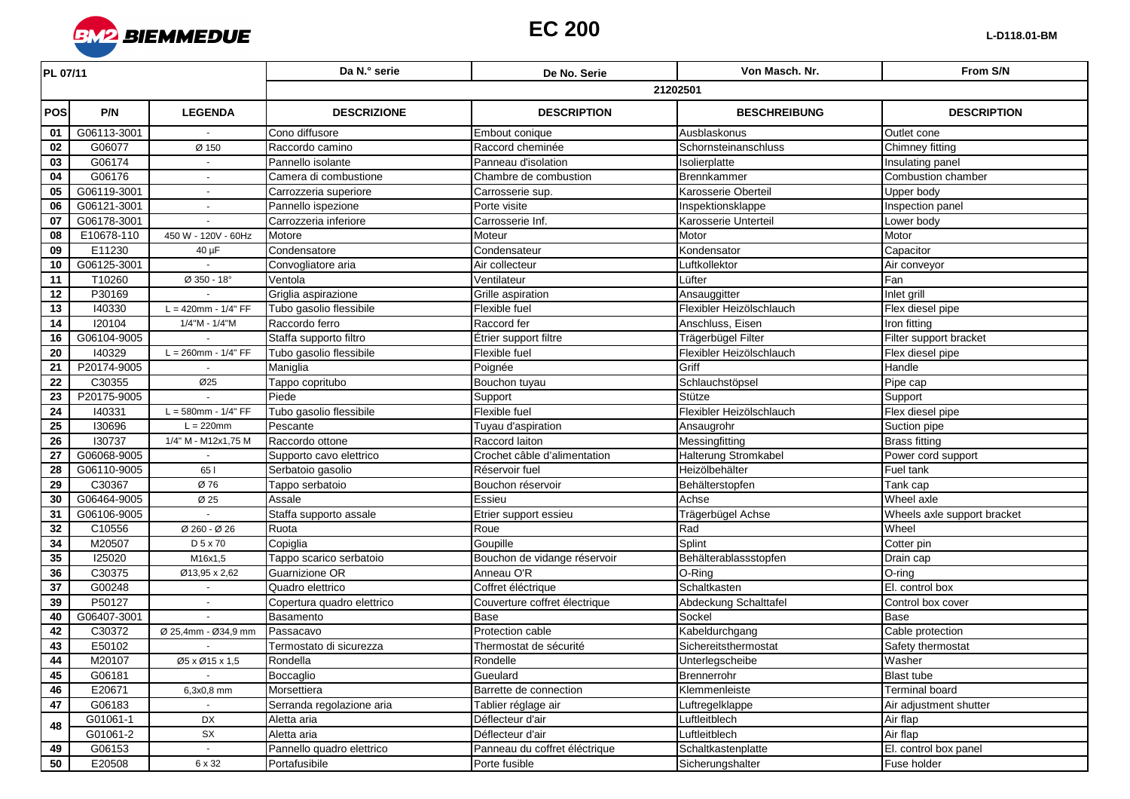

| PL 07/11        |             |                          | Da N.º serie               | De No. Serie                  | Von Masch, Nr.           | From S/N                    |  |  |
|-----------------|-------------|--------------------------|----------------------------|-------------------------------|--------------------------|-----------------------------|--|--|
|                 |             |                          | 21202501                   |                               |                          |                             |  |  |
| <b>POS</b>      | P/N         | <b>LEGENDA</b>           | <b>DESCRIZIONE</b>         | <b>DESCRIPTION</b>            | <b>BESCHREIBUNG</b>      | <b>DESCRIPTION</b>          |  |  |
| 01              | G06113-3001 |                          | Cono diffusore             | Embout conique                | Ausblaskonus             | Outlet cone                 |  |  |
| 02              | G06077      | Ø 150                    | Raccordo camino            | Raccord cheminée              | Schornsteinanschluss     | Chimney fitting             |  |  |
| 03              | G06174      |                          | Pannello isolante          | Panneau d'isolation           | Isolierplatte            | Insulating panel            |  |  |
| 04              | G06176      | $\sim$                   | Camera di combustione      | Chambre de combustion         | Brennkammer              | <b>Combustion chamber</b>   |  |  |
| 05              | G06119-3001 |                          | Carrozzeria superiore      | Carrosserie sup.              | Karosserie Oberteil      | Upper body                  |  |  |
| 06              | G06121-3001 |                          | Pannello ispezione         | Porte visite                  | Inspektionsklappe        | Inspection panel            |  |  |
| 07              | G06178-3001 |                          | Carrozzeria inferiore      | Carrosserie Inf.              | Karosserie Unterteil     | Lower body                  |  |  |
| 08              | E10678-110  | 450 W - 120V - 60Hz      | Motore                     | Moteur                        | Motor                    | Motor                       |  |  |
| 09              | E11230      | $40 \mu F$               | Condensatore               | Condensateur                  | Kondensator              | Capacitor                   |  |  |
| 10              | G06125-3001 |                          | Convogliatore aria         | Air collecteur                | Luftkollektor            | Air conveyor                |  |  |
| 11              | T10260      | $Ø$ 350 - 18°            | Ventola                    | Ventilateur                   | Lüfter                   | Fan                         |  |  |
| 12              | P30169      |                          | Griglia aspirazione        | Grille aspiration             | Ansauggitter             | Inlet grill                 |  |  |
| 13              | 140330      | $L = 420$ mm - $1/4" FF$ | Tubo gasolio flessibile    | Flexible fuel                 | Flexibler Heizölschlauch | Flex diesel pipe            |  |  |
| 14              | 120104      | 1/4"M - 1/4"M            | Raccordo ferro             | Raccord fer                   | Anschluss, Eisen         | Iron fitting                |  |  |
| 16              | G06104-9005 |                          | Staffa supporto filtro     | Étrier support filtre         | Trägerbügel Filter       | Filter support bracket      |  |  |
| 20              | 140329      | $L = 260$ mm - $1/4" FF$ | Tubo gasolio flessibile    | Flexible fuel                 | Flexibler Heizölschlauch | Flex diesel pipe            |  |  |
| 21              | P20174-9005 |                          | Maniglia                   | Poignée                       | Griff                    | Handle                      |  |  |
| $\overline{22}$ | C30355      | Ø25                      | Tappo copritubo            | Bouchon tuyau                 | Schlauchstöpsel          | Pipe cap                    |  |  |
| 23              | P20175-9005 |                          | Piede                      | Support                       | Stütze                   | Support                     |  |  |
| $\overline{24}$ | 140331      | $L = 580$ mm - $1/4" FF$ | Tubo gasolio flessibile    | Flexible fuel                 | Flexibler Heizölschlauch | Flex diesel pipe            |  |  |
| 25              | 130696      | $L = 220$ mm             | Pescante                   | Tuyau d'aspiration            | Ansaugrohr               | Suction pipe                |  |  |
| 26              | 130737      | 1/4" M - M12x1,75 M      | Raccordo ottone            | Raccord laiton                | Messingfitting           | <b>Brass fitting</b>        |  |  |
| 27              | G06068-9005 |                          | Supporto cavo elettrico    | Crochet câble d'alimentation  | Halterung Stromkabel     | Power cord support          |  |  |
| 28              | G06110-9005 | 65                       | Serbatoio gasolio          | Réservoir fuel                | Heizölbehälter           | Fuel tank                   |  |  |
| 29              | C30367      | Ø 76                     | Tappo serbatoio            | Bouchon réservoir             | Behälterstopfen          | Tank cap                    |  |  |
| 30              | G06464-9005 | Ø 25                     | Assale                     | Essieu                        | Achse                    | Wheel axle                  |  |  |
| 31              | G06106-9005 |                          | Staffa supporto assale     | Etrier support essieu         | Trägerbügel Achse        | Wheels axle support bracket |  |  |
| 32              | C10556      | Ø 260 - Ø 26             | Ruota                      | Roue                          | Rad                      | Wheel                       |  |  |
| 34              | M20507      | D 5 x 70                 | Copiglia                   | Goupille                      | Splint                   | Cotter pin                  |  |  |
| 35              | 125020      | M16x1,5                  | Tappo scarico serbatoio    | Bouchon de vidange réservoir  | Behälterablassstopfen    | Drain cap                   |  |  |
| 36              | C30375      | Ø13,95 x 2,62            | Guarnizione OR             | Anneau O'R                    | O-Ring                   | O-ring                      |  |  |
| $\overline{37}$ | G00248      |                          | Quadro elettrico           | Coffret éléctrique            | Schaltkasten             | El. control box             |  |  |
| 39              | P50127      |                          | Copertura quadro elettrico | Couverture coffret électrique | Abdeckung Schalttafel    | Control box cover           |  |  |
| 40              | G06407-3001 |                          | Basamento                  | Base                          | Sockel                   | <b>Base</b>                 |  |  |
| 42              | C30372      | Ø 25,4mm - Ø34,9 mm      | Passacavo                  | Protection cable              | Kabeldurchgang           | Cable protection            |  |  |
| 43              | E50102      |                          | Termostato di sicurezza    | Thermostat de sécurité        | Sichereitsthermostat     | Safety thermostat           |  |  |
| 44              | M20107      | Ø5 x Ø15 x 1,5           | Rondella                   | Rondelle                      | Unterlegscheibe          | Washer                      |  |  |
| 45              | G06181      | $\sim$                   | Boccaglio                  | Gueulard                      | Brennerrohr              | <b>Blast tube</b>           |  |  |
| 46              | E20671      | 6,3x0,8 mm               | Morsettiera                | Barrette de connection        | Klemmenleiste            | <b>Terminal board</b>       |  |  |
| 47              | G06183      |                          | Serranda regolazione aria  | Tablier réglage air           | Luftregelklappe          | Air adjustment shutter      |  |  |
| 48              | G01061-1    | DX                       | Aletta aria                | Déflecteur d'air              | Luftleitblech            | Air flap                    |  |  |
|                 | G01061-2    | SX                       | Aletta aria                | Déflecteur d'air              | Luftleitblech            | Air flap                    |  |  |
| 49              | G06153      | $\sim$                   | Pannello quadro elettrico  | Panneau du coffret éléctrique | Schaltkastenplatte       | El. control box panel       |  |  |
| 50              | E20508      | 6 x 32                   | Portafusibile              | Porte fusible                 | Sicherungshalter         | Fuse holder                 |  |  |